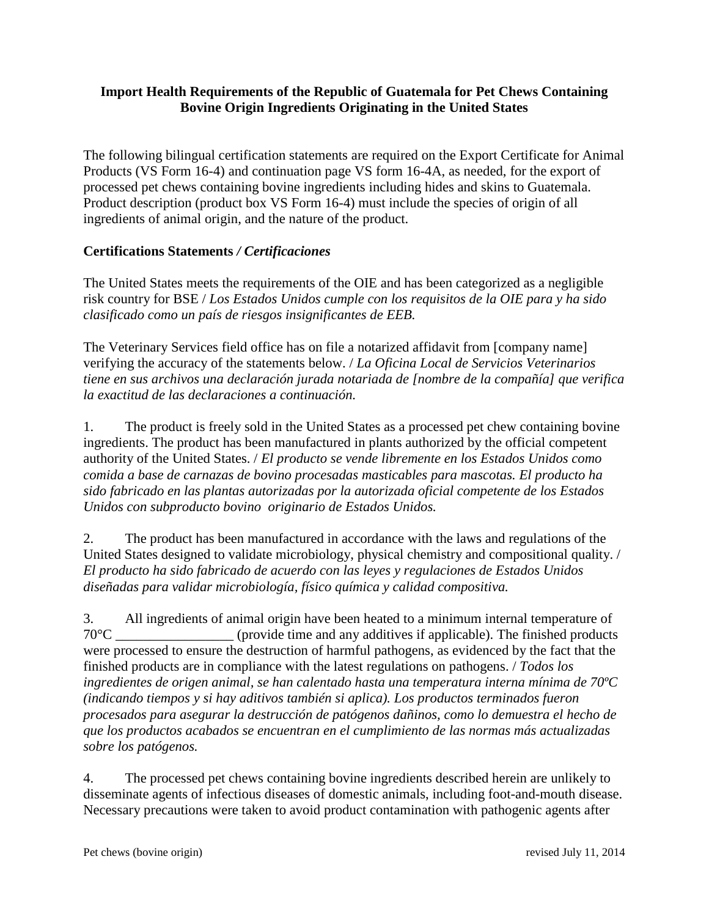## **Import Health Requirements of the Republic of Guatemala for Pet Chews Containing Bovine Origin Ingredients Originating in the United States**

The following bilingual certification statements are required on the Export Certificate for Animal Products (VS Form 16-4) and continuation page VS form 16-4A, as needed, for the export of processed pet chews containing bovine ingredients including hides and skins to Guatemala. Product description (product box VS Form 16-4) must include the species of origin of all ingredients of animal origin, and the nature of the product.

## **Certifications Statements** */ Certificaciones*

The United States meets the requirements of the OIE and has been categorized as a negligible risk country for BSE / *Los Estados Unidos cumple con los requisitos de la OIE para y ha sido clasificado como un país de riesgos insignificantes de EEB.*

The Veterinary Services field office has on file a notarized affidavit from [company name] verifying the accuracy of the statements below. / *La Oficina Local de Servicios Veterinarios tiene en sus archivos una declaración jurada notariada de [nombre de la compañía] que verifica la exactitud de las declaraciones a continuación.*

1. The product is freely sold in the United States as a processed pet chew containing bovine ingredients. The product has been manufactured in plants authorized by the official competent authority of the United States. / *El producto se vende libremente en los Estados Unidos como comida a base de carnazas de bovino procesadas masticables para mascotas. El producto ha sido fabricado en las plantas autorizadas por la autorizada oficial competente de los Estados Unidos con subproducto bovino originario de Estados Unidos.*

2. The product has been manufactured in accordance with the laws and regulations of the United States designed to validate microbiology, physical chemistry and compositional quality. / *El producto ha sido fabricado de acuerdo con las leyes y regulaciones de Estados Unidos diseñadas para validar microbiología, físico química y calidad compositiva.*

3. All ingredients of animal origin have been heated to a minimum internal temperature of  $70^{\circ}$ C (provide time and any additives if applicable). The finished products were processed to ensure the destruction of harmful pathogens, as evidenced by the fact that the finished products are in compliance with the latest regulations on pathogens. / *Todos los ingredientes de origen animal, se han calentado hasta una temperatura interna mínima de 70ºC (indicando tiempos y si hay aditivos también si aplica). Los productos terminados fueron procesados para asegurar la destrucción de patógenos dañinos, como lo demuestra el hecho de que los productos acabados se encuentran en el cumplimiento de las normas más actualizadas sobre los patógenos.*

4. The processed pet chews containing bovine ingredients described herein are unlikely to disseminate agents of infectious diseases of domestic animals, including foot-and-mouth disease. Necessary precautions were taken to avoid product contamination with pathogenic agents after